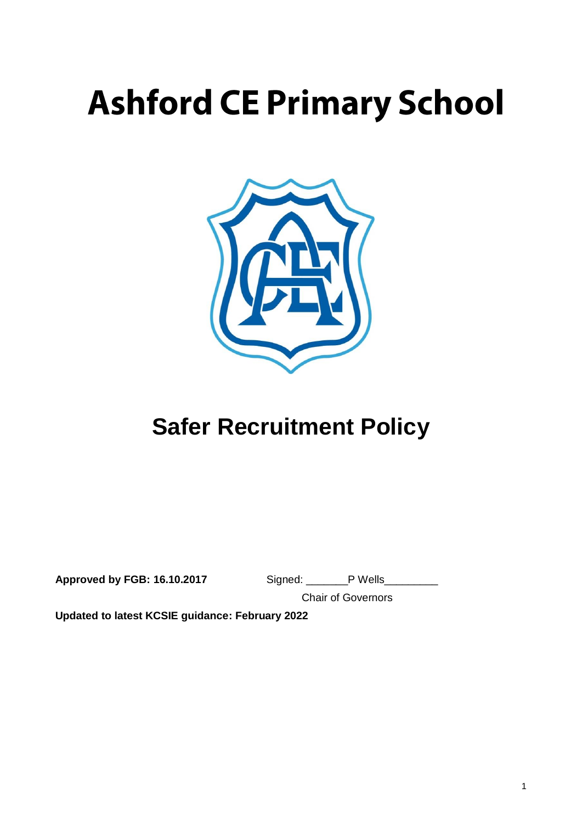# **Ashford CE Primary School**



## **Safer Recruitment Policy**

**Approved by FGB: 16.10.2017** Signed: \_\_\_\_\_\_\_P Wells\_\_\_\_\_\_\_\_\_

Chair of Governors

**Updated to latest KCSIE guidance: February 2022**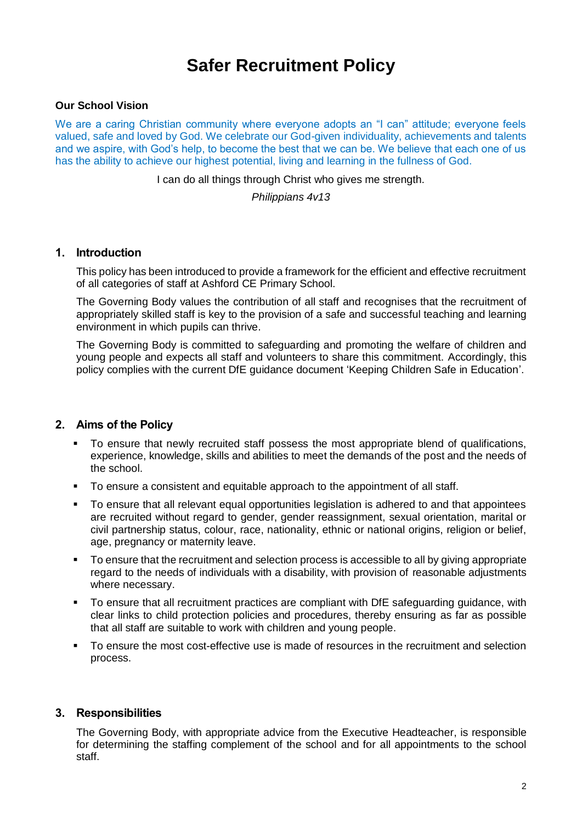### **Safer Recruitment Policy**

#### **Our School Vision**

We are a caring Christian community where everyone adopts an "I can" attitude; everyone feels valued, safe and loved by God. We celebrate our God-given individuality, achievements and talents and we aspire, with God's help, to become the best that we can be. We believe that each one of us has the ability to achieve our highest potential, living and learning in the fullness of God.

I can do all things through Christ who gives me strength.

*Philippians 4v13*

#### **1. Introduction**

This policy has been introduced to provide a framework for the efficient and effective recruitment of all categories of staff at Ashford CE Primary School.

The Governing Body values the contribution of all staff and recognises that the recruitment of appropriately skilled staff is key to the provision of a safe and successful teaching and learning environment in which pupils can thrive.

The Governing Body is committed to safeguarding and promoting the welfare of children and young people and expects all staff and volunteers to share this commitment. Accordingly, this policy complies with the current DfE guidance document 'Keeping Children Safe in Education'.

#### **2. Aims of the Policy**

- To ensure that newly recruited staff possess the most appropriate blend of qualifications, experience, knowledge, skills and abilities to meet the demands of the post and the needs of the school.
- To ensure a consistent and equitable approach to the appointment of all staff.
- To ensure that all relevant equal opportunities legislation is adhered to and that appointees are recruited without regard to gender, gender reassignment, sexual orientation, marital or civil partnership status, colour, race, nationality, ethnic or national origins, religion or belief, age, pregnancy or maternity leave.
- To ensure that the recruitment and selection process is accessible to all by giving appropriate regard to the needs of individuals with a disability, with provision of reasonable adjustments where necessary.
- To ensure that all recruitment practices are compliant with DfE safeguarding guidance, with clear links to child protection policies and procedures, thereby ensuring as far as possible that all staff are suitable to work with children and young people.
- To ensure the most cost-effective use is made of resources in the recruitment and selection process.

#### **3. Responsibilities**

The Governing Body, with appropriate advice from the Executive Headteacher, is responsible for determining the staffing complement of the school and for all appointments to the school staff.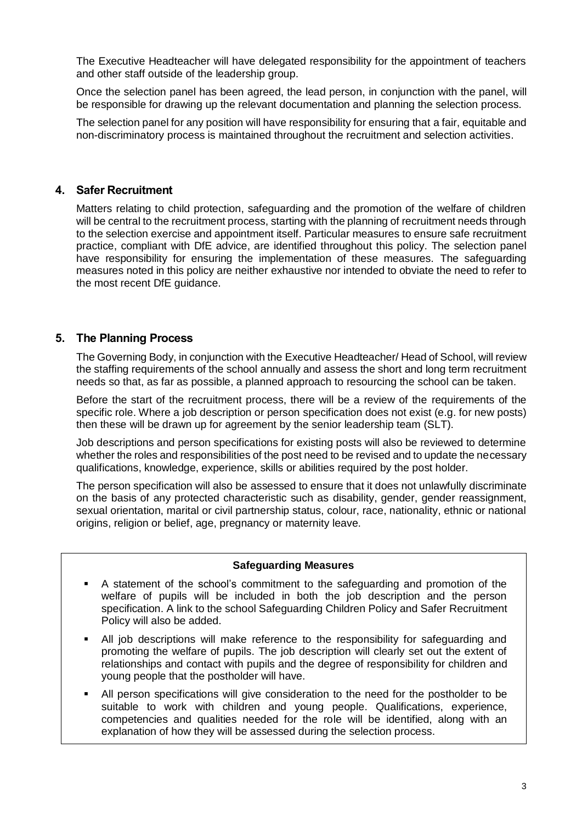The Executive Headteacher will have delegated responsibility for the appointment of teachers and other staff outside of the leadership group.

Once the selection panel has been agreed, the lead person, in conjunction with the panel, will be responsible for drawing up the relevant documentation and planning the selection process.

The selection panel for any position will have responsibility for ensuring that a fair, equitable and non-discriminatory process is maintained throughout the recruitment and selection activities.

#### **4. Safer Recruitment**

Matters relating to child protection, safeguarding and the promotion of the welfare of children will be central to the recruitment process, starting with the planning of recruitment needs through to the selection exercise and appointment itself. Particular measures to ensure safe recruitment practice, compliant with DfE advice, are identified throughout this policy. The selection panel have responsibility for ensuring the implementation of these measures. The safeguarding measures noted in this policy are neither exhaustive nor intended to obviate the need to refer to the most recent DfE guidance.

#### **5. The Planning Process**

The Governing Body, in conjunction with the Executive Headteacher/ Head of School, will review the staffing requirements of the school annually and assess the short and long term recruitment needs so that, as far as possible, a planned approach to resourcing the school can be taken.

Before the start of the recruitment process, there will be a review of the requirements of the specific role. Where a job description or person specification does not exist (e.g. for new posts) then these will be drawn up for agreement by the senior leadership team (SLT).

Job descriptions and person specifications for existing posts will also be reviewed to determine whether the roles and responsibilities of the post need to be revised and to update the necessary qualifications, knowledge, experience, skills or abilities required by the post holder.

The person specification will also be assessed to ensure that it does not unlawfully discriminate on the basis of any protected characteristic such as disability, gender, gender reassignment, sexual orientation, marital or civil partnership status, colour, race, nationality, ethnic or national origins, religion or belief, age, pregnancy or maternity leave.

#### **Safeguarding Measures**

- A statement of the school's commitment to the safeguarding and promotion of the welfare of pupils will be included in both the job description and the person specification. A link to the school Safeguarding Children Policy and Safer Recruitment Policy will also be added.
- All job descriptions will make reference to the responsibility for safeguarding and promoting the welfare of pupils. The job description will clearly set out the extent of relationships and contact with pupils and the degree of responsibility for children and young people that the postholder will have.
- All person specifications will give consideration to the need for the postholder to be suitable to work with children and young people. Qualifications, experience, competencies and qualities needed for the role will be identified, along with an explanation of how they will be assessed during the selection process.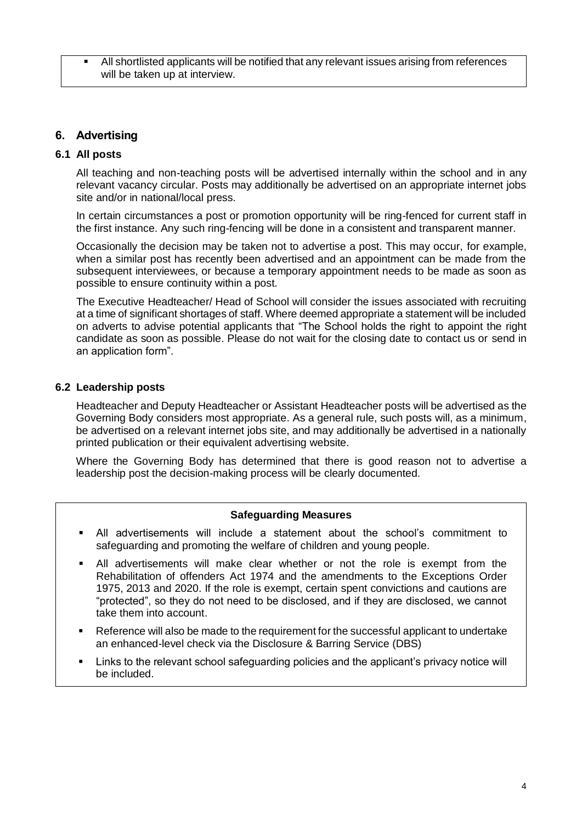All shortlisted applicants will be notified that any relevant issues arising from references will be taken up at interview.

#### **6. Advertising**

#### **6.1 All posts**

All teaching and non-teaching posts will be advertised internally within the school and in any relevant vacancy circular. Posts may additionally be advertised on an appropriate internet jobs site and/or in national/local press.

In certain circumstances a post or promotion opportunity will be ring-fenced for current staff in the first instance. Any such ring-fencing will be done in a consistent and transparent manner.

Occasionally the decision may be taken not to advertise a post. This may occur, for example, when a similar post has recently been advertised and an appointment can be made from the subsequent interviewees, or because a temporary appointment needs to be made as soon as possible to ensure continuity within a post.

The Executive Headteacher/ Head of School will consider the issues associated with recruiting at a time of significant shortages of staff. Where deemed appropriate a statement will be included on adverts to advise potential applicants that "The School holds the right to appoint the right candidate as soon as possible. Please do not wait for the closing date to contact us or send in an application form".

#### **6.2 Leadership posts**

Headteacher and Deputy Headteacher or Assistant Headteacher posts will be advertised as the Governing Body considers most appropriate. As a general rule, such posts will, as a minimum, be advertised on a relevant internet jobs site, and may additionally be advertised in a nationally printed publication or their equivalent advertising website.

Where the Governing Body has determined that there is good reason not to advertise a leadership post the decision-making process will be clearly documented.

#### **Safeguarding Measures**

- All advertisements will include a statement about the school's commitment to safeguarding and promoting the welfare of children and young people.
- All advertisements will make clear whether or not the role is exempt from the Rehabilitation of offenders Act 1974 and the amendments to the Exceptions Order 1975, 2013 and 2020. If the role is exempt, certain spent convictions and cautions are "protected", so they do not need to be disclosed, and if they are disclosed, we cannot take them into account.
- Reference will also be made to the requirement for the successful applicant to undertake an enhanced-level check via the Disclosure & Barring Service (DBS)
- Links to the relevant school safeguarding policies and the applicant's privacy notice will be included.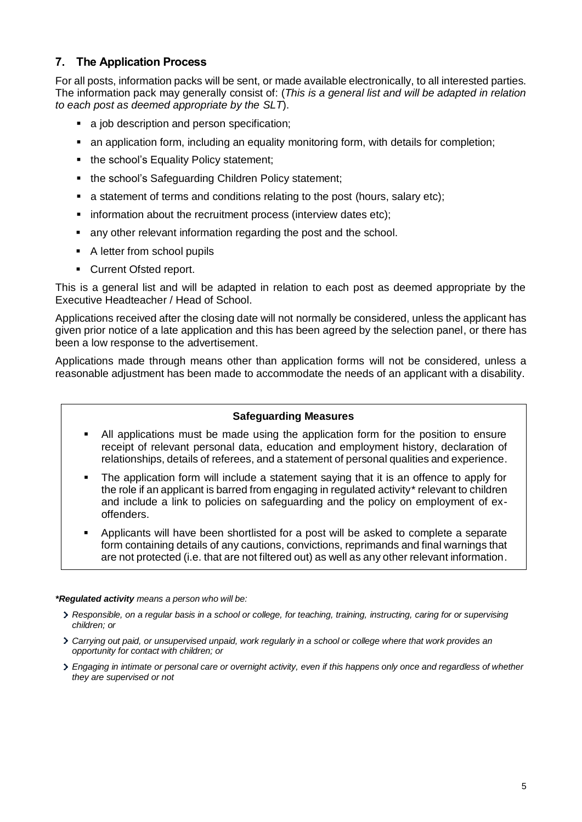#### **7. The Application Process**

For all posts, information packs will be sent, or made available electronically, to all interested parties. The information pack may generally consist of: (*This is a general list and will be adapted in relation to each post as deemed appropriate by the SLT*).

- a job description and person specification;
- an application form, including an equality monitoring form, with details for completion;
- the school's Equality Policy statement;
- the school's Safeguarding Children Policy statement;
- a statement of terms and conditions relating to the post (hours, salary etc);
- information about the recruitment process (interview dates etc);
- any other relevant information regarding the post and the school.
- A letter from school pupils
- Current Ofsted report.

This is a general list and will be adapted in relation to each post as deemed appropriate by the Executive Headteacher / Head of School.

Applications received after the closing date will not normally be considered, unless the applicant has given prior notice of a late application and this has been agreed by the selection panel, or there has been a low response to the advertisement.

Applications made through means other than application forms will not be considered, unless a reasonable adjustment has been made to accommodate the needs of an applicant with a disability.

#### **Safeguarding Measures**

- All applications must be made using the application form for the position to ensure receipt of relevant personal data, education and employment history, declaration of relationships, details of referees, and a statement of personal qualities and experience.
- The application form will include a statement saying that it is an offence to apply for the role if an applicant is barred from engaging in regulated activity\* relevant to children and include a link to policies on safeguarding and the policy on employment of exoffenders.
- Applicants will have been shortlisted for a post will be asked to complete a separate form containing details of any cautions, convictions, reprimands and final warnings that are not protected (i.e. that are not filtered out) as well as any other relevant information.

#### *\*Regulated activity means a person who will be:*

- *Responsible, on a regular basis in a school or college, for teaching, training, instructing, caring for or supervising children; or*
- *Carrying out paid, or unsupervised unpaid, work regularly in a school or college where that work provides an opportunity for contact with children; or*
- *Engaging in intimate or personal care or overnight activity, even if this happens only once and regardless of whether they are supervised or not*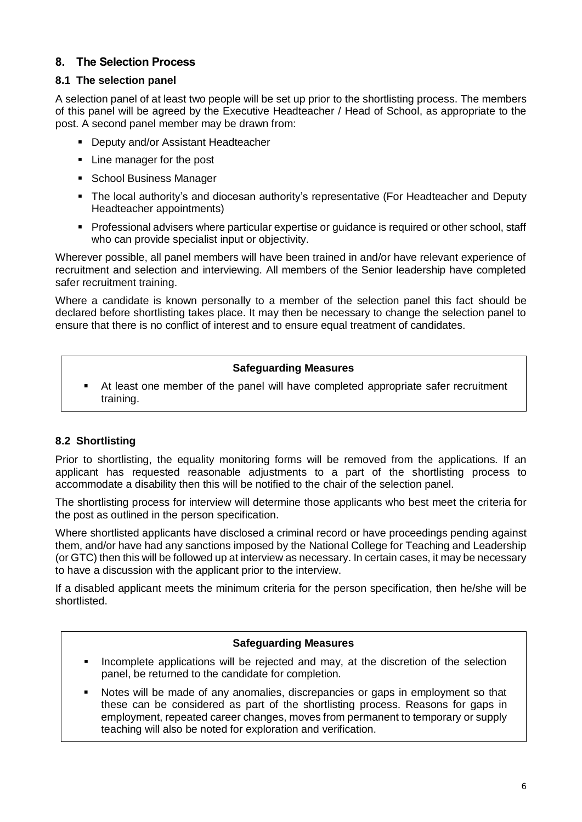#### **8. The Selection Process**

#### **8.1 The selection panel**

A selection panel of at least two people will be set up prior to the shortlisting process. The members of this panel will be agreed by the Executive Headteacher / Head of School, as appropriate to the post. A second panel member may be drawn from:

- **Deputy and/or Assistant Headteacher**
- Line manager for the post
- **School Business Manager**
- The local authority's and diocesan authority's representative (For Headteacher and Deputy Headteacher appointments)
- Professional advisers where particular expertise or guidance is required or other school, staff who can provide specialist input or objectivity.

Wherever possible, all panel members will have been trained in and/or have relevant experience of recruitment and selection and interviewing. All members of the Senior leadership have completed safer recruitment training.

Where a candidate is known personally to a member of the selection panel this fact should be declared before shortlisting takes place. It may then be necessary to change the selection panel to ensure that there is no conflict of interest and to ensure equal treatment of candidates.

#### **Safeguarding Measures**

 At least one member of the panel will have completed appropriate safer recruitment training.

#### **8.2 Shortlisting**

Prior to shortlisting, the equality monitoring forms will be removed from the applications. If an applicant has requested reasonable adjustments to a part of the shortlisting process to accommodate a disability then this will be notified to the chair of the selection panel.

The shortlisting process for interview will determine those applicants who best meet the criteria for the post as outlined in the person specification.

Where shortlisted applicants have disclosed a criminal record or have proceedings pending against them, and/or have had any sanctions imposed by the National College for Teaching and Leadership (or GTC) then this will be followed up at interview as necessary. In certain cases, it may be necessary to have a discussion with the applicant prior to the interview.

If a disabled applicant meets the minimum criteria for the person specification, then he/she will be shortlisted.

#### **Safeguarding Measures**

- Incomplete applications will be rejected and may, at the discretion of the selection panel, be returned to the candidate for completion.
- Notes will be made of any anomalies, discrepancies or gaps in employment so that these can be considered as part of the shortlisting process. Reasons for gaps in employment, repeated career changes, moves from permanent to temporary or supply teaching will also be noted for exploration and verification.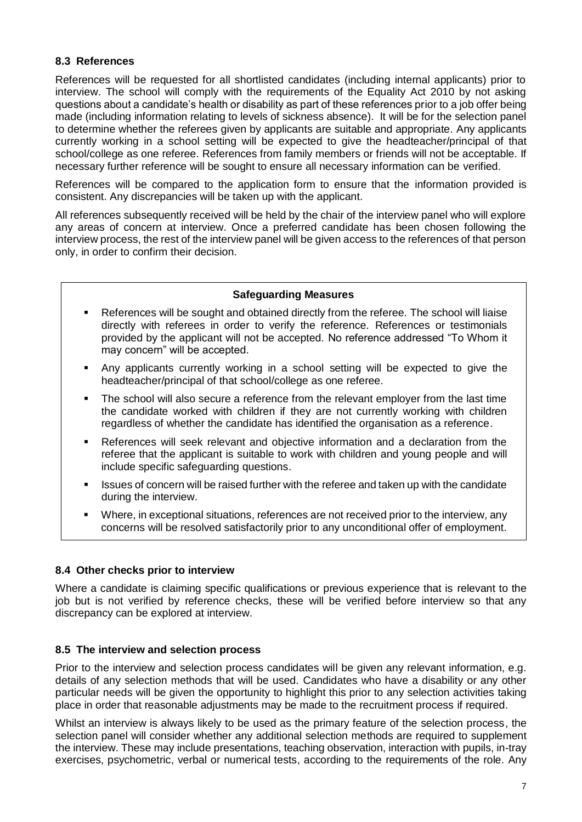#### **8.3 References**

References will be requested for all shortlisted candidates (including internal applicants) prior to interview. The school will comply with the requirements of the Equality Act 2010 by not asking questions about a candidate's health or disability as part of these references prior to a job offer being made (including information relating to levels of sickness absence). It will be for the selection panel to determine whether the referees given by applicants are suitable and appropriate. Any applicants currently working in a school setting will be expected to give the headteacher/principal of that school/college as one referee. References from family members or friends will not be acceptable. If necessary further reference will be sought to ensure all necessary information can be verified.

References will be compared to the application form to ensure that the information provided is consistent. Any discrepancies will be taken up with the applicant.

All references subsequently received will be held by the chair of the interview panel who will explore any areas of concern at interview. Once a preferred candidate has been chosen following the interview process, the rest of the interview panel will be given access to the references of that person only, in order to confirm their decision.

#### **Safeguarding Measures**

- References will be sought and obtained directly from the referee. The school will liaise directly with referees in order to verify the reference. References or testimonials provided by the applicant will not be accepted. No reference addressed "To Whom it may concern" will be accepted.
- Any applicants currently working in a school setting will be expected to give the headteacher/principal of that school/college as one referee.
- The school will also secure a reference from the relevant employer from the last time the candidate worked with children if they are not currently working with children regardless of whether the candidate has identified the organisation as a reference.
- References will seek relevant and objective information and a declaration from the referee that the applicant is suitable to work with children and young people and will include specific safeguarding questions.
- Issues of concern will be raised further with the referee and taken up with the candidate during the interview.
- Where, in exceptional situations, references are not received prior to the interview, any concerns will be resolved satisfactorily prior to any unconditional offer of employment.

#### **8.4 Other checks prior to interview**

Where a candidate is claiming specific qualifications or previous experience that is relevant to the job but is not verified by reference checks, these will be verified before interview so that any discrepancy can be explored at interview.

#### **8.5 The interview and selection process**

Prior to the interview and selection process candidates will be given any relevant information, e.g. details of any selection methods that will be used. Candidates who have a disability or any other particular needs will be given the opportunity to highlight this prior to any selection activities taking place in order that reasonable adjustments may be made to the recruitment process if required.

Whilst an interview is always likely to be used as the primary feature of the selection process, the selection panel will consider whether any additional selection methods are required to supplement the interview. These may include presentations, teaching observation, interaction with pupils, in-tray exercises, psychometric, verbal or numerical tests, according to the requirements of the role. Any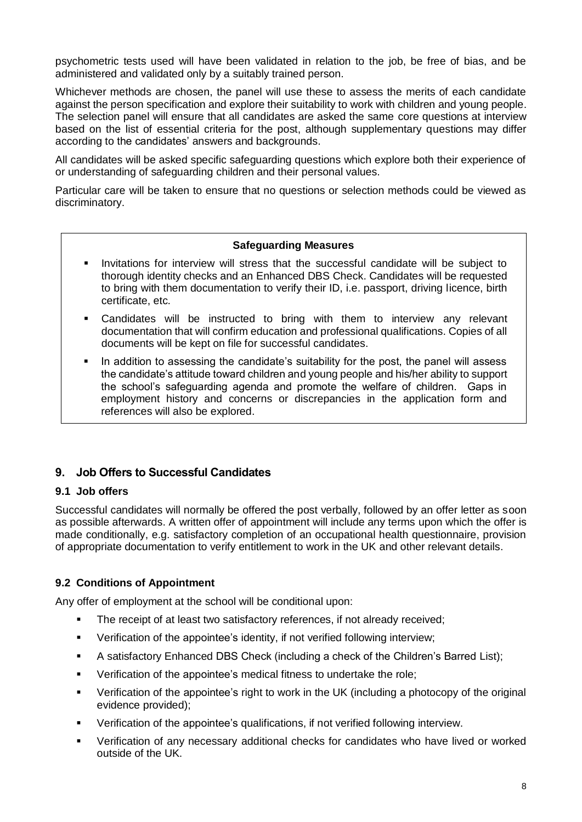psychometric tests used will have been validated in relation to the job, be free of bias, and be administered and validated only by a suitably trained person.

Whichever methods are chosen, the panel will use these to assess the merits of each candidate against the person specification and explore their suitability to work with children and young people. The selection panel will ensure that all candidates are asked the same core questions at interview based on the list of essential criteria for the post, although supplementary questions may differ according to the candidates' answers and backgrounds.

All candidates will be asked specific safeguarding questions which explore both their experience of or understanding of safeguarding children and their personal values.

Particular care will be taken to ensure that no questions or selection methods could be viewed as discriminatory.

#### **Safeguarding Measures**

- Invitations for interview will stress that the successful candidate will be subject to thorough identity checks and an Enhanced DBS Check. Candidates will be requested to bring with them documentation to verify their ID, i.e. passport, driving licence, birth certificate, etc.
- Candidates will be instructed to bring with them to interview any relevant documentation that will confirm education and professional qualifications. Copies of all documents will be kept on file for successful candidates.
- In addition to assessing the candidate's suitability for the post, the panel will assess the candidate's attitude toward children and young people and his/her ability to support the school's safeguarding agenda and promote the welfare of children. Gaps in employment history and concerns or discrepancies in the application form and references will also be explored.

#### **9. Job Offers to Successful Candidates**

#### **9.1 Job offers**

Successful candidates will normally be offered the post verbally, followed by an offer letter as soon as possible afterwards. A written offer of appointment will include any terms upon which the offer is made conditionally, e.g. satisfactory completion of an occupational health questionnaire, provision of appropriate documentation to verify entitlement to work in the UK and other relevant details.

#### **9.2 Conditions of Appointment**

Any offer of employment at the school will be conditional upon:

- The receipt of at least two satisfactory references, if not already received;
- Verification of the appointee's identity, if not verified following interview;
- A satisfactory Enhanced DBS Check (including a check of the Children's Barred List);
- Verification of the appointee's medical fitness to undertake the role;
- Verification of the appointee's right to work in the UK (including a photocopy of the original evidence provided);
- Verification of the appointee's qualifications, if not verified following interview.
- Verification of any necessary additional checks for candidates who have lived or worked outside of the UK.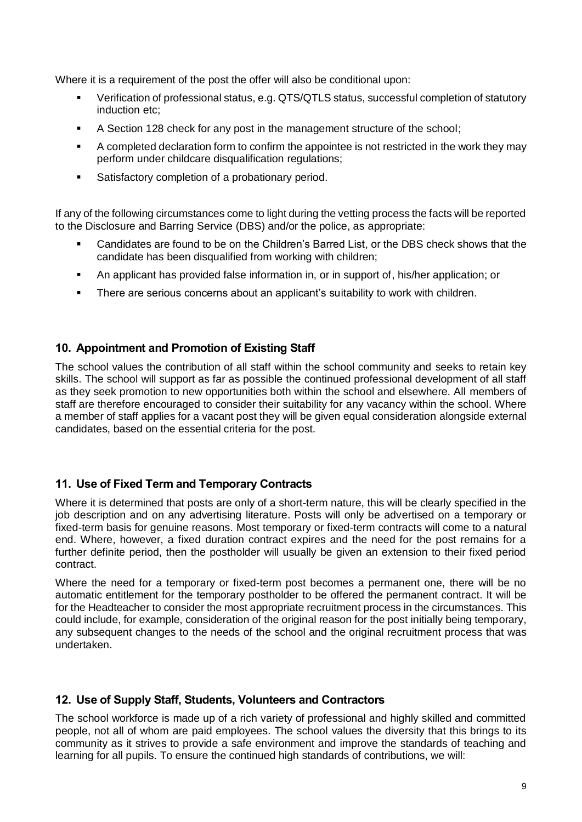Where it is a requirement of the post the offer will also be conditional upon:

- Verification of professional status, e.g. QTS/QTLS status, successful completion of statutory induction etc;
- A Section 128 check for any post in the management structure of the school;
- A completed declaration form to confirm the appointee is not restricted in the work they may perform under childcare disqualification regulations;
- Satisfactory completion of a probationary period.

If any of the following circumstances come to light during the vetting process the facts will be reported to the Disclosure and Barring Service (DBS) and/or the police, as appropriate:

- Candidates are found to be on the Children's Barred List, or the DBS check shows that the candidate has been disqualified from working with children;
- An applicant has provided false information in, or in support of, his/her application; or
- There are serious concerns about an applicant's suitability to work with children.

#### **10. Appointment and Promotion of Existing Staff**

The school values the contribution of all staff within the school community and seeks to retain key skills. The school will support as far as possible the continued professional development of all staff as they seek promotion to new opportunities both within the school and elsewhere. All members of staff are therefore encouraged to consider their suitability for any vacancy within the school. Where a member of staff applies for a vacant post they will be given equal consideration alongside external candidates, based on the essential criteria for the post.

#### **11. Use of Fixed Term and Temporary Contracts**

Where it is determined that posts are only of a short-term nature, this will be clearly specified in the job description and on any advertising literature. Posts will only be advertised on a temporary or fixed-term basis for genuine reasons. Most temporary or fixed-term contracts will come to a natural end. Where, however, a fixed duration contract expires and the need for the post remains for a further definite period, then the postholder will usually be given an extension to their fixed period contract.

Where the need for a temporary or fixed-term post becomes a permanent one, there will be no automatic entitlement for the temporary postholder to be offered the permanent contract. It will be for the Headteacher to consider the most appropriate recruitment process in the circumstances. This could include, for example, consideration of the original reason for the post initially being temporary, any subsequent changes to the needs of the school and the original recruitment process that was undertaken.

#### **12. Use of Supply Staff, Students, Volunteers and Contractors**

The school workforce is made up of a rich variety of professional and highly skilled and committed people, not all of whom are paid employees. The school values the diversity that this brings to its community as it strives to provide a safe environment and improve the standards of teaching and learning for all pupils. To ensure the continued high standards of contributions, we will: